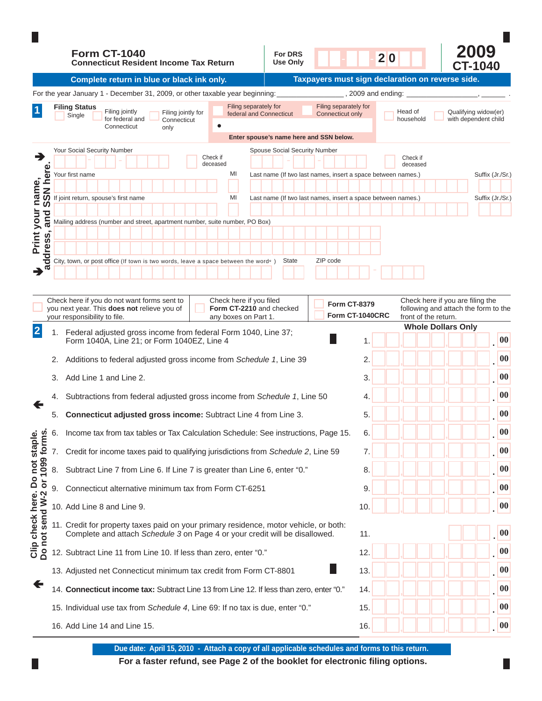|                                                                  |    | <b>Form CT-1040</b><br><b>Connecticut Resident Income Tax Return</b>                                                                                                                                      | <b>For DRS</b><br>Use Only                                                                                            |                                           |                                        | 20                                                           |                                                                                                  | 2009<br><b>CT-1040</b>                       |                   |  |  |  |  |
|------------------------------------------------------------------|----|-----------------------------------------------------------------------------------------------------------------------------------------------------------------------------------------------------------|-----------------------------------------------------------------------------------------------------------------------|-------------------------------------------|----------------------------------------|--------------------------------------------------------------|--------------------------------------------------------------------------------------------------|----------------------------------------------|-------------------|--|--|--|--|
|                                                                  |    | Complete return in blue or black ink only.                                                                                                                                                                | Taxpayers must sign declaration on reverse side.                                                                      |                                           |                                        |                                                              |                                                                                                  |                                              |                   |  |  |  |  |
|                                                                  |    | For the year January 1 - December 31, 2009, or other taxable year beginning:                                                                                                                              | 2009 and ending:                                                                                                      |                                           |                                        |                                                              |                                                                                                  |                                              |                   |  |  |  |  |
|                                                                  |    | Filing separately for<br>Filing Status<br>Filing jointly<br>Filing jointly for<br>federal and Connecticut<br>Single<br>for federal and<br>Connecticut<br>Connecticut<br>only                              |                                                                                                                       | Filing separately for<br>Connecticut only |                                        | Head of<br>household                                         |                                                                                                  | Qualifying widow(er)<br>with dependent child |                   |  |  |  |  |
|                                                                  |    | Enter spouse's name here and SSN below.                                                                                                                                                                   |                                                                                                                       |                                           |                                        |                                                              |                                                                                                  |                                              |                   |  |  |  |  |
| →                                                                |    | Your Social Security Number<br>Check if<br>deceased                                                                                                                                                       | Spouse Social Security Number<br>Check if<br>deceased<br>Last name (If two last names, insert a space between names.) |                                           |                                        |                                                              |                                                                                                  |                                              |                   |  |  |  |  |
| N here                                                           |    | MI<br>Your first name                                                                                                                                                                                     |                                                                                                                       |                                           |                                        |                                                              |                                                                                                  | Suffix (Jr./Sr.)                             |                   |  |  |  |  |
| name,<br>S                                                       |    | If joint return, spouse's first name<br>MI                                                                                                                                                                |                                                                                                                       |                                           |                                        | Last name (If two last names, insert a space between names.) |                                                                                                  | Suffix (Jr./Sr.)                             |                   |  |  |  |  |
| ၯ                                                                |    |                                                                                                                                                                                                           |                                                                                                                       |                                           |                                        |                                                              |                                                                                                  |                                              |                   |  |  |  |  |
| your<br>and                                                      |    | Mailing address (number and street, apartment number, suite number, PO Box)                                                                                                                               |                                                                                                                       |                                           |                                        |                                                              |                                                                                                  |                                              |                   |  |  |  |  |
| Print<br>ທ່                                                      |    |                                                                                                                                                                                                           |                                                                                                                       |                                           |                                        |                                                              |                                                                                                  |                                              |                   |  |  |  |  |
| ddres                                                            |    | City, town, or post office (If town is two words, leave a space between the words.)                                                                                                                       |                                                                                                                       | ZIP code                                  |                                        |                                                              |                                                                                                  |                                              |                   |  |  |  |  |
| ದ                                                                |    |                                                                                                                                                                                                           | <b>State</b>                                                                                                          |                                           |                                        |                                                              |                                                                                                  |                                              |                   |  |  |  |  |
|                                                                  |    |                                                                                                                                                                                                           |                                                                                                                       |                                           |                                        |                                                              |                                                                                                  |                                              |                   |  |  |  |  |
|                                                                  |    | Check here if you do not want forms sent to<br>Check here if you filed<br>you next year. This does not relieve you of<br>Form CT-2210 and checked<br>your responsibility to file.<br>any boxes on Part 1. |                                                                                                                       |                                           | <b>Form CT-8379</b><br>Form CT-1040CRC |                                                              | Check here if you are filing the<br>following and attach the form to the<br>front of the return. |                                              |                   |  |  |  |  |
| $\overline{2}$                                                   | 1. | Federal adjusted gross income from federal Form 1040, Line 37;                                                                                                                                            |                                                                                                                       |                                           |                                        |                                                              | <b>Whole Dollars Only</b>                                                                        |                                              |                   |  |  |  |  |
|                                                                  |    | Form 1040A, Line 21; or Form 1040EZ, Line 4                                                                                                                                                               |                                                                                                                       |                                           |                                        |                                                              |                                                                                                  |                                              | $\boldsymbol{00}$ |  |  |  |  |
|                                                                  | 2. | Additions to federal adjusted gross income from Schedule 1, Line 39                                                                                                                                       |                                                                                                                       | 2.                                        |                                        |                                                              |                                                                                                  | 00                                           |                   |  |  |  |  |
|                                                                  | 3. | Add Line 1 and Line 2.                                                                                                                                                                                    |                                                                                                                       | 3.                                        |                                        |                                                              |                                                                                                  | $\boldsymbol{00}$                            |                   |  |  |  |  |
|                                                                  |    | Subtractions from federal adjusted gross income from Schedule 1, Line 50                                                                                                                                  |                                                                                                                       | 4.                                        |                                        |                                                              |                                                                                                  | $\boldsymbol{00}$                            |                   |  |  |  |  |
|                                                                  | 5. | <b>Connecticut adjusted gross income:</b> Subtract Line 4 from Line 3.                                                                                                                                    |                                                                                                                       | 5.                                        |                                        |                                                              |                                                                                                  | 00                                           |                   |  |  |  |  |
|                                                                  | 6. | Income tax from tax tables or Tax Calculation Schedule: See instructions, Page 15.                                                                                                                        |                                                                                                                       | 6.                                        |                                        |                                                              |                                                                                                  | 00                                           |                   |  |  |  |  |
|                                                                  | 7. | Credit for income taxes paid to qualifying jurisdictions from Schedule 2, Line 59                                                                                                                         |                                                                                                                       | 7.                                        |                                        |                                                              |                                                                                                  | 00                                           |                   |  |  |  |  |
| or 1099 forms                                                    | 8. | Subtract Line 7 from Line 6. If Line 7 is greater than Line 6, enter "0."                                                                                                                                 |                                                                                                                       | 8.                                        |                                        |                                                              |                                                                                                  | 00                                           |                   |  |  |  |  |
|                                                                  | 9. | Connecticut alternative minimum tax from Form CT-6251                                                                                                                                                     |                                                                                                                       | 9                                         |                                        |                                                              |                                                                                                  | 00                                           |                   |  |  |  |  |
|                                                                  |    | 10. Add Line 8 and Line 9.                                                                                                                                                                                |                                                                                                                       |                                           | 10.                                    |                                                              |                                                                                                  |                                              | 00                |  |  |  |  |
| Clip check here. Do not staple.<br>Do not send W-2 or 1099 forms |    | 11. Credit for property taxes paid on your primary residence, motor vehicle, or both:<br>Complete and attach Schedule 3 on Page 4 or your credit will be disallowed.                                      |                                                                                                                       | 11.                                       |                                        |                                                              |                                                                                                  | 00                                           |                   |  |  |  |  |
|                                                                  |    | 12. Subtract Line 11 from Line 10. If less than zero, enter "0."                                                                                                                                          |                                                                                                                       | 12.                                       |                                        |                                                              |                                                                                                  | 00                                           |                   |  |  |  |  |
|                                                                  |    | 13. Adjusted net Connecticut minimum tax credit from Form CT-8801                                                                                                                                         |                                                                                                                       |                                           | 13.                                    |                                                              |                                                                                                  |                                              | 00                |  |  |  |  |
| ←                                                                |    | 14. Connecticut income tax: Subtract Line 13 from Line 12. If less than zero, enter "0."                                                                                                                  |                                                                                                                       |                                           | 14.                                    |                                                              |                                                                                                  |                                              | 00                |  |  |  |  |
|                                                                  |    | 15. Individual use tax from Schedule 4, Line 69: If no tax is due, enter "0."                                                                                                                             |                                                                                                                       |                                           | 15.                                    |                                                              |                                                                                                  |                                              | 00                |  |  |  |  |
|                                                                  |    | 16. Add Line 14 and Line 15.                                                                                                                                                                              | 16.                                                                                                                   |                                           |                                        |                                                              | 00                                                                                               |                                              |                   |  |  |  |  |

For a faster refund, see Page 2 of the booklet for electronic filing options. **Due date: April 15, 2010 - Attach a copy of all applicable schedules and forms to this return.**

Ш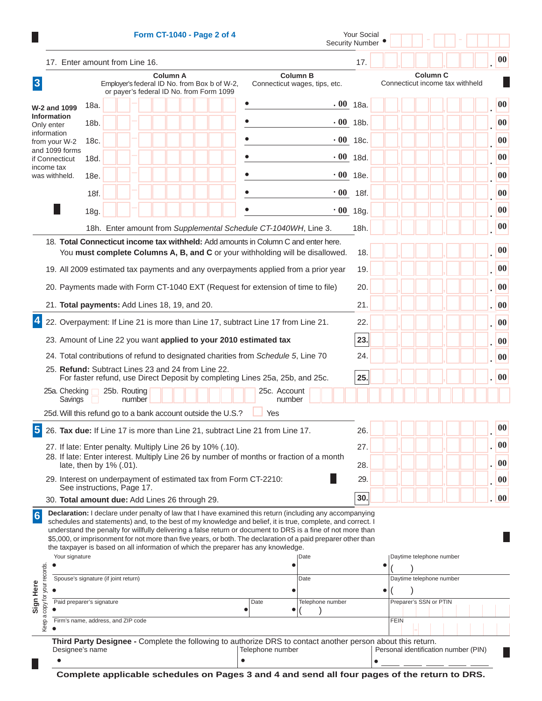|                                                                                                             |                                                                                                                                                                                                                                                                                                                                                                                                                                                                                                                                                                                                                         |  |              |        |  |  |  | Form CT-1040 - Page 2 of 4 |  |                                 |                  |                        |                                                                                                             | <b>Your Social</b><br><b>Security Number</b> |  |                        |    |  |                                      |  |              |
|-------------------------------------------------------------------------------------------------------------|-------------------------------------------------------------------------------------------------------------------------------------------------------------------------------------------------------------------------------------------------------------------------------------------------------------------------------------------------------------------------------------------------------------------------------------------------------------------------------------------------------------------------------------------------------------------------------------------------------------------------|--|--------------|--------|--|--|--|----------------------------|--|---------------------------------|------------------|------------------------|-------------------------------------------------------------------------------------------------------------|----------------------------------------------|--|------------------------|----|--|--------------------------------------|--|--------------|
|                                                                                                             | 17. Enter amount from Line 16.                                                                                                                                                                                                                                                                                                                                                                                                                                                                                                                                                                                          |  |              |        |  |  |  |                            |  | 17.                             |                  |                        |                                                                                                             |                                              |  |                        | 00 |  |                                      |  |              |
| $\boldsymbol{3}$                                                                                            | <b>Column B</b><br><b>Column A</b><br>Connecticut wages, tips, etc.<br>Employer's federal ID No. from Box b of W-2,<br>or payer's federal ID No. from Form 1099                                                                                                                                                                                                                                                                                                                                                                                                                                                         |  |              |        |  |  |  |                            |  | Connecticut income tax withheld |                  |                        |                                                                                                             |                                              |  |                        |    |  |                                      |  |              |
| <b>W-2 and 1099</b>                                                                                         | 18a.                                                                                                                                                                                                                                                                                                                                                                                                                                                                                                                                                                                                                    |  |              |        |  |  |  |                            |  |                                 |                  |                        |                                                                                                             | $.00$ 18a.                                   |  |                        |    |  |                                      |  | 00           |
| <b>Information</b><br>Only enter                                                                            | 18b.                                                                                                                                                                                                                                                                                                                                                                                                                                                                                                                                                                                                                    |  |              |        |  |  |  |                            |  |                                 |                  |                        |                                                                                                             | $-00$ 18b.                                   |  |                        |    |  |                                      |  | 00           |
| information<br>from your W-2                                                                                | 18c.                                                                                                                                                                                                                                                                                                                                                                                                                                                                                                                                                                                                                    |  |              |        |  |  |  |                            |  |                                 |                  |                        |                                                                                                             | $.00$ 18c.                                   |  |                        |    |  |                                      |  | 00           |
| and 1099 forms<br>if Connecticut                                                                            | 18d.                                                                                                                                                                                                                                                                                                                                                                                                                                                                                                                                                                                                                    |  |              |        |  |  |  |                            |  |                                 |                  |                        |                                                                                                             | $.00$ 18d.                                   |  |                        |    |  |                                      |  | 00           |
| income tax<br>was withheld.                                                                                 | 18e.                                                                                                                                                                                                                                                                                                                                                                                                                                                                                                                                                                                                                    |  |              |        |  |  |  |                            |  |                                 |                  |                        |                                                                                                             | $\cdot$ 00 18e.                              |  |                        |    |  |                                      |  | 00           |
|                                                                                                             | 18f.                                                                                                                                                                                                                                                                                                                                                                                                                                                                                                                                                                                                                    |  |              |        |  |  |  |                            |  |                                 |                  |                        | $\cdot 00$                                                                                                  | 18f.                                         |  |                        |    |  |                                      |  | 00           |
|                                                                                                             | 18g.                                                                                                                                                                                                                                                                                                                                                                                                                                                                                                                                                                                                                    |  |              |        |  |  |  |                            |  |                                 |                  |                        |                                                                                                             | $.00$ 18g.                                   |  |                        |    |  |                                      |  | 00           |
|                                                                                                             |                                                                                                                                                                                                                                                                                                                                                                                                                                                                                                                                                                                                                         |  |              |        |  |  |  |                            |  |                                 |                  |                        | 18h. Enter amount from Supplemental Schedule CT-1040WH, Line 3.                                             | 18h.                                         |  |                        |    |  |                                      |  | 00           |
|                                                                                                             |                                                                                                                                                                                                                                                                                                                                                                                                                                                                                                                                                                                                                         |  |              |        |  |  |  |                            |  |                                 |                  |                        | 18. Total Connecticut income tax withheld: Add amounts in Column C and enter here.                          |                                              |  |                        |    |  |                                      |  |              |
|                                                                                                             |                                                                                                                                                                                                                                                                                                                                                                                                                                                                                                                                                                                                                         |  |              |        |  |  |  |                            |  |                                 |                  |                        | You must complete Columns A, B, and C or your withholding will be disallowed.                               | 18.                                          |  |                        |    |  |                                      |  | 00           |
|                                                                                                             |                                                                                                                                                                                                                                                                                                                                                                                                                                                                                                                                                                                                                         |  |              |        |  |  |  |                            |  |                                 |                  |                        | 19. All 2009 estimated tax payments and any overpayments applied from a prior year                          | 19.                                          |  |                        |    |  |                                      |  | 00           |
|                                                                                                             | 20. Payments made with Form CT-1040 EXT (Request for extension of time to file)                                                                                                                                                                                                                                                                                                                                                                                                                                                                                                                                         |  |              |        |  |  |  |                            |  |                                 |                  | 20.                    |                                                                                                             |                                              |  |                        |    |  | 00                                   |  |              |
| 21. Total payments: Add Lines 18, 19, and 20.                                                               |                                                                                                                                                                                                                                                                                                                                                                                                                                                                                                                                                                                                                         |  |              |        |  |  |  |                            |  |                                 |                  |                        |                                                                                                             | 21.                                          |  |                        |    |  |                                      |  | . 00         |
| $\overline{\mathbf{4}}$<br>22. Overpayment: If Line 21 is more than Line 17, subtract Line 17 from Line 21. |                                                                                                                                                                                                                                                                                                                                                                                                                                                                                                                                                                                                                         |  |              |        |  |  |  |                            |  |                                 |                  |                        |                                                                                                             | 22.                                          |  |                        |    |  |                                      |  | $\vert$ 00   |
| 23. Amount of Line 22 you want applied to your 2010 estimated tax                                           |                                                                                                                                                                                                                                                                                                                                                                                                                                                                                                                                                                                                                         |  |              |        |  |  |  |                            |  |                                 |                  |                        |                                                                                                             | 23.                                          |  |                        |    |  |                                      |  | 00           |
| 24. Total contributions of refund to designated charities from Schedule 5, Line 70                          |                                                                                                                                                                                                                                                                                                                                                                                                                                                                                                                                                                                                                         |  |              |        |  |  |  |                            |  |                                 |                  |                        |                                                                                                             | 24.                                          |  |                        |    |  |                                      |  | 00           |
| 25. Refund: Subtract Lines 23 and 24 from Line 22.                                                          |                                                                                                                                                                                                                                                                                                                                                                                                                                                                                                                                                                                                                         |  |              |        |  |  |  |                            |  |                                 |                  |                        | For faster refund, use Direct Deposit by completing Lines 25a, 25b, and 25c.                                | 25.                                          |  |                        |    |  |                                      |  | 00           |
| 25a. Checking $\Box$<br>Savings                                                                             |                                                                                                                                                                                                                                                                                                                                                                                                                                                                                                                                                                                                                         |  | 25b. Routing | number |  |  |  |                            |  |                                 |                  | 25c. Account<br>number |                                                                                                             |                                              |  |                        |    |  |                                      |  |              |
| 25d. Will this refund go to a bank account outside the U.S.?                                                |                                                                                                                                                                                                                                                                                                                                                                                                                                                                                                                                                                                                                         |  |              |        |  |  |  |                            |  |                                 | Yes              |                        |                                                                                                             |                                              |  |                        |    |  |                                      |  |              |
| 5<br>26. Tax due: If Line 17 is more than Line 21, subtract Line 21 from Line 17.                           |                                                                                                                                                                                                                                                                                                                                                                                                                                                                                                                                                                                                                         |  |              |        |  |  |  |                            |  |                                 |                  |                        |                                                                                                             | 26.                                          |  |                        |    |  |                                      |  | 00           |
| 27. If late: Enter penalty. Multiply Line 26 by 10% (.10).                                                  |                                                                                                                                                                                                                                                                                                                                                                                                                                                                                                                                                                                                                         |  |              |        |  |  |  |                            |  |                                 |                  |                        |                                                                                                             | 27.                                          |  |                        |    |  |                                      |  | $\vert$ 00   |
| 28. If late: Enter interest. Multiply Line 26 by number of months or fraction of a month                    | late, then by 1% (.01).                                                                                                                                                                                                                                                                                                                                                                                                                                                                                                                                                                                                 |  |              |        |  |  |  |                            |  |                                 |                  | 28.                    |                                                                                                             |                                              |  |                        |    |  | 00                                   |  |              |
| 29. Interest on underpayment of estimated tax from Form CT-2210:                                            | See instructions, Page 17.                                                                                                                                                                                                                                                                                                                                                                                                                                                                                                                                                                                              |  |              |        |  |  |  |                            |  |                                 |                  |                        |                                                                                                             | 29.                                          |  |                        |    |  |                                      |  | $ 00\rangle$ |
| 30. Total amount due: Add Lines 26 through 29.                                                              |                                                                                                                                                                                                                                                                                                                                                                                                                                                                                                                                                                                                                         |  |              |        |  |  |  |                            |  |                                 |                  |                        |                                                                                                             | 30.                                          |  |                        |    |  |                                      |  | $ 00\rangle$ |
| $6\phantom{1}6$<br>copy for your records.<br>Sign Here                                                      | Declaration: I declare under penalty of law that I have examined this return (including any accompanying<br>schedules and statements) and, to the best of my knowledge and belief, it is true, complete, and correct. I<br>understand the penalty for willfully delivering a false return or document to DRS is a fine of not more than<br>\$5,000, or imprisonment for not more than five years, or both. The declaration of a paid preparer other than<br>the taxpayer is based on all information of which the preparer has any knowledge.<br>Your signature<br>Date<br>Spouse's signature (if joint return)<br>Date |  |              |        |  |  |  |                            |  |                                 | $\bullet$        |                        | Daytime telephone number<br>Daytime telephone number                                                        |                                              |  |                        |    |  |                                      |  |              |
|                                                                                                             | Paid preparer's signature                                                                                                                                                                                                                                                                                                                                                                                                                                                                                                                                                                                               |  |              |        |  |  |  |                            |  | Date                            |                  | Telephone number       |                                                                                                             |                                              |  | Preparer's SSN or PTIN |    |  |                                      |  |              |
| a<br>Firm's name, address, and ZIP code<br>Keep                                                             |                                                                                                                                                                                                                                                                                                                                                                                                                                                                                                                                                                                                                         |  |              |        |  |  |  |                            |  |                                 |                  |                        |                                                                                                             |                                              |  | <b>FEIN</b>            |    |  |                                      |  |              |
| Designee's name                                                                                             |                                                                                                                                                                                                                                                                                                                                                                                                                                                                                                                                                                                                                         |  |              |        |  |  |  |                            |  | $\bullet$                       | Telephone number |                        | Third Party Designee - Complete the following to authorize DRS to contact another person about this return. |                                              |  |                        |    |  | Personal identification number (PIN) |  |              |

**Complete applicable schedules on Pages 3 and 4 and send all four pages of the return to DRS.**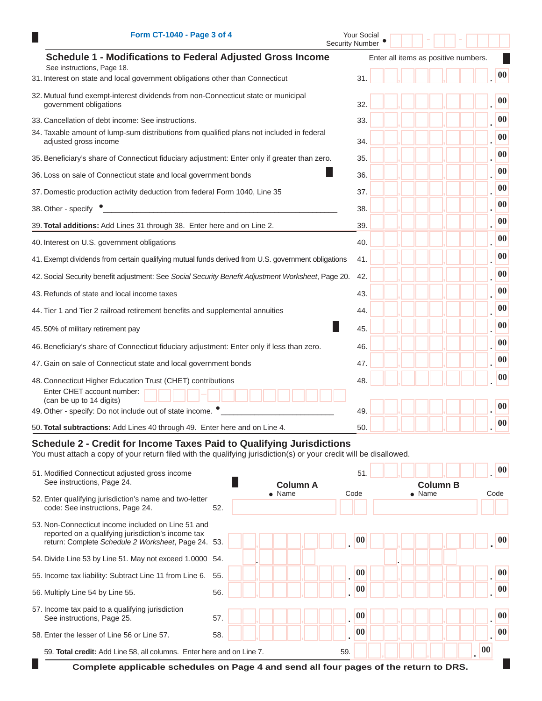| Form CT-1040 - Page 3 of 4                                                                                         | Your Social<br><b>Security Number</b> |                   |
|--------------------------------------------------------------------------------------------------------------------|---------------------------------------|-------------------|
| <b>Schedule 1 - Modifications to Federal Adjusted Gross Income</b><br>See instructions, Page 18.                   | Enter all items as positive numbers.  |                   |
| 31. Interest on state and local government obligations other than Connecticut                                      | 31.                                   | 00                |
| 32. Mutual fund exempt-interest dividends from non-Connecticut state or municipal<br>government obligations        | 32.                                   | 00                |
| 33. Cancellation of debt income: See instructions.                                                                 | 33.                                   | 00                |
| 34. Taxable amount of lump-sum distributions from qualified plans not included in federal<br>adjusted gross income | 34.                                   | 00                |
| 35. Beneficiary's share of Connecticut fiduciary adjustment: Enter only if greater than zero.                      | 35.                                   | 00                |
| 36. Loss on sale of Connecticut state and local government bonds                                                   | 36.                                   | 00                |
| 37. Domestic production activity deduction from federal Form 1040, Line 35                                         | 37.                                   | 00                |
| 38. Other - specify                                                                                                | 38.                                   | 00                |
| 39. Total additions: Add Lines 31 through 38. Enter here and on Line 2.                                            | 39.                                   | 00                |
| 40. Interest on U.S. government obligations                                                                        | 40.                                   | 00                |
| 41. Exempt dividends from certain qualifying mutual funds derived from U.S. government obligations                 | 41.                                   | 00                |
| 42. Social Security benefit adjustment: See Social Security Benefit Adjustment Worksheet, Page 20.                 | 42.                                   | 00                |
| 43. Refunds of state and local income taxes                                                                        | 43.                                   | 00                |
| 44. Tier 1 and Tier 2 railroad retirement benefits and supplemental annuities                                      | 44.                                   | $\boldsymbol{00}$ |
| 45.50% of military retirement pay                                                                                  | 45.                                   | 00                |
| 46. Beneficiary's share of Connecticut fiduciary adjustment: Enter only if less than zero.                         | 46.                                   | 00                |
| 47. Gain on sale of Connecticut state and local government bonds                                                   | 47.                                   | 00                |
| 48. Connecticut Higher Education Trust (CHET) contributions                                                        | 48.                                   | 00                |
| Enter CHET account number:<br>(can be up to 14 digits)                                                             |                                       |                   |
| 49. Other - specify: Do not include out of state income.                                                           | 49.                                   | 00                |
| 50. Total subtractions: Add Lines 40 through 49. Enter here and on Line 4.                                         | 50.                                   | 00                |

## **Schedule 2 - Credit for Income Taxes Paid to Qualifying Jurisdictions**

You must attach a copy of your return filed with the qualifying jurisdiction(s) or your credit will be disallowed.

| 51. Modified Connecticut adjusted gross income                                                                                                                  |     |                 |  |              | 51. | 00              |  |                          |  |  |
|-----------------------------------------------------------------------------------------------------------------------------------------------------------------|-----|-----------------|--|--------------|-----|-----------------|--|--------------------------|--|--|
| See instructions, Page 24.                                                                                                                                      |     | <b>Column A</b> |  |              |     | <b>Column B</b> |  |                          |  |  |
| 52. Enter qualifying jurisdiction's name and two-letter<br>code: See instructions, Page 24.                                                                     | 52. | $\bullet$ Name  |  | Code         |     | $\bullet$ Name  |  | Code                     |  |  |
| 53. Non-Connecticut income included on Line 51 and<br>reported on a qualifying jurisdiction's income tax<br>return: Complete Schedule 2 Worksheet, Page 24. 53. |     |                 |  | $ 00\rangle$ |     |                 |  | $ 00\rangle$             |  |  |
| 54. Divide Line 53 by Line 51. May not exceed 1.0000 54.                                                                                                        |     |                 |  |              |     |                 |  |                          |  |  |
| 55. Income tax liability: Subtract Line 11 from Line 6.                                                                                                         | 55. |                 |  | $\bf{00}$    |     |                 |  | 00                       |  |  |
| 56. Multiply Line 54 by Line 55.                                                                                                                                | 56. |                 |  | 00           |     |                 |  | 00                       |  |  |
| 57. Income tax paid to a qualifying jurisdiction<br>See instructions, Page 25.                                                                                  | 57. |                 |  | 00           |     |                 |  | $\overline{\mathbf{00}}$ |  |  |
| 58. Enter the lesser of Line 56 or Line 57.                                                                                                                     | 58. |                 |  | 00           |     |                 |  | 00                       |  |  |
| 59. Total credit: Add Line 58, all columns. Enter here and on Line 7.                                                                                           |     |                 |  | 59.          |     |                 |  | $\bf{00}$                |  |  |
| Complete applicable schedules on Page 4 and send all four pages of the return to DRS.                                                                           |     |                 |  |              |     |                 |  |                          |  |  |